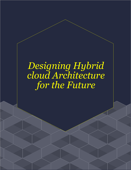# *Designing Hybrid cloud Architecture for the Future*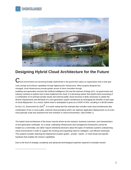



# **Designing Hybrid Cloud Architecture for the Future**

I loud environments are becoming broadly implemented in the government space as organizations look to both gain costs savings and enhance capabilities through digitizing their infrastructure. When properly designed and managed, cloud infrastructures provide greater access to future innovation through enabling next generation services like Artificial Intelligence (AI) and the Internet of things (IoT). As government and industry continue to explore how to best implement the cloud, it is becoming clearer that hybrid cloud (consisting of a combination of on-premise private clouds and external public cloud services) is likely necessary to satisfy the diverse requirements and demands of a next generation system architecture by leveraging the benefits of each type of cloud deployment. As a result, hybrid cloud is anticipated to grow at a CAGR of 20%, resulting in a \$4.5B market for the U.S. Government by 2025  $^{\text{1}}$  . It is worth noting that this estimate also includes multi-cloud architectures (the combination of two or more public, external cloud providers) which can optimize application deployments on an even more granular scale and represent the next evolution in cloud environments. (See Exhibit 1.)

The hybrid cloud architecture of the future must be driven by the missions, business outcomes, and characteristics of next generation workloads. As a result, underlying infrastructure and management frameworks cannot be treated as a commodity, but rather require intentional decisions about the types of hardware systems underpinning cloud environments in order to support the evolving and expanding need for intelligent, cost efficient workloads. This analysis includes selecting the deployment location (public-, private-, hybrid-, or multi-cloud) and specific hardware that enables the mission capabilities.

Due to the level of strategic complexity and advanced technological expertise required to translate mission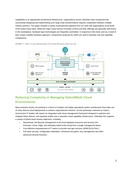capabilities to an appropriate architectural infrastructure, organizations across industries have recognized that successfully designing and implementing such large scale transformations requires cooperation between multiple industry partners. This paper includes a variety of perspectives gleaned from our work with organizations at all levels of the hybrid cloud stack. While the major Cloud Service Providers (CSPs) and their offerings are generally well known in the marketplace, hardware layer technologies are frequently overlooked. In response to this trend, and as a result of their unique scalable hardware approach, components produced by Intel® are used to illustrate cost and capability comparisons.



#### EXHIBIT 1 | MULTI CLOUD MANAGEMENT PLATFORM REFERENCE ARCHITECTURE

# **Reducing Complexity in Managing Hybrid/Multi-Cloud Environments**

Many business drivers are pointing to a future of complex and highly specialized system architectures that make use of many diverse cloud deployments to achieve organizational missions. As this landscape continues to mature, Government IT leaders will require an integrated multi-cloud management framework designed to optimize and integrate these diverse, and separate entities into a seamless cloud capability infrastructure. Ultimately this supports a variety of hybrid-cloud mission objectives, including:

- Streamlined, full lifecycle management of all cloud deployed resources and services (On-Premises, Cloud, Edge, and ultimately hybrid multi-cloud) from a single management plane.
- Cost-effective empowerment of IT teams to provide next-gen services (AI/ML/DL/IoT/etc.).
- Full-stack security, configuration attestation, enhanced encryption, key management and other advanced security functions.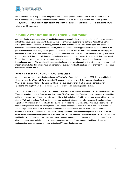

cloud environments to help maintain compliance with evolving government mandates without the need to learn the diverse toolsets specific to each cloud model. Consequently, the multi-cloud solution can enable quicker deployments, accelerate security accreditation, and streamline the adoption of cloud services to deliver maximum value to any IT organization.

## **Notable Advancements in the Hybrid Cloud Market**

Any multi-cloud management system will need to incorporate diverse cloud providers and make use of the advancements in the hybrid cloud market today. While traditional data center "private clouds" and the Software-Defined Data Center (SDDC) are established concepts in industry, the need to adopt hybrid cloud infrastructure to support next-generation workloads in latency sensitive, bandwidth intensive, and/or data transfer-heavy applications is driving the evolution of the private cloud to more easily integrate with public cloud infrastructure. As a result, public cloud vendors are leveraging the convenience of their capabilities and extending into the on-premises data center and IT infrastructure. Critically, this means that each of these hybrid cloud offerings has similar but different approaches to service delivery in the hybrid cloud model. These differences range from the level and control of management responsibility to where the services reside in respect to the customer's network. The selection of the appropriate offering is a key design decision that will determine the growth and modernization strategy that underpins an enterprise level cloud journey. Notable strategic hybrid offerings from public cloud vendors are included below.

#### **VMware Cloud on AWS (VMWare + AWS Public Cloud)**

Since many government private clouds are based on VMWare's software defined datacenter (SDDC), this hybrid cloud offering extends the VMware SDDC to support AWS public cloud infrastructure. By leveraging existing, familiar VMware tools such as vSphere, NSX, and VSAN into the cloud, government IT leaders maintain consistency of operations, and simplify many of the technical challenges involved with managing multiple clouds.

VMC on AWS (See Exhibit 2.) is targeted at organizations with significant footprint and strong operational understanding of VMware's virtualization and software defined data center (SDDC) technologies. This allows these customers to expand into public cloud services using VMWare-centric tools familiar to their technical staff, while also moving toward taking advantage of other AWS native IaaS and PaaS services. It may also be attractive to customers who have recently made significant capital investments in on-premises infrastructure but wish to leverage the capabilities of the AWS cloud platform inside of their security perimeter, while maintaining their VMWare-based management framework. This allows such customers to "set the stage" for an eventual AWS migration while continuing to capitalize on their VMWare-based on-premises environments and existing skillsets. From a service delivery, operations, and management perspective, VMC on AWS is delivered and maintained to the operational SDDC level. The customer need only manage the deployment and usage of the workloads. The VMC on AWS environments tie into their management tools in the VMware vSphere and vCloud Suites allowing the customer's technical teams to manage workloads across the VMC resources. Additionally, it enables customers to migrate between on-premises and external VMware cloud resources.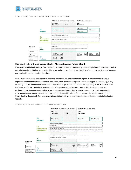

#### EXHIBIT +++2 | VMWARE CLOUD ON AWS REFERENCE ARCHITECTURE

|                                    |                                            | <b>INTERNAL</b> (ENTERPRISE DATA CENTER)                                        |            | <b>EXTERNAL</b> (AWS, EDGE)             |                         |
|------------------------------------|--------------------------------------------|---------------------------------------------------------------------------------|------------|-----------------------------------------|-------------------------|
|                                    |                                            | <b>Security</b><br>Perimeter                                                    | <b>DMZ</b> | <b>CSP</b><br>Perimeter                 |                         |
|                                    | <b>Jalifa</b><br><b>Workload</b>           | Private Cloud                                                                   |            | <b>VMC Cloud</b><br><b>Public Cloud</b> | <b>Edge Network</b>     |
|                                    |                                            |                                                                                 |            |                                         |                         |
|                                    | <b>Cloud Services</b><br><b>Management</b> | vSphere and vCloud Suites (VMC)                                                 |            |                                         |                         |
| Management<br>Legend<br>Enterprise |                                            | AWS Cloud Management Tools                                                      |            |                                         |                         |
|                                    | ╳<br><b>SDDCs</b>                          | <b>VMware SDDC</b>                                                              |            |                                         |                         |
|                                    |                                            |                                                                                 |            |                                         |                         |
| AWS<br>(External CSP)<br>          | හි                                         | VMware<br>$\bigoplus$<br>Private Cloud<br>$\circledast$<br>Legacy IT<br>Systems |            | i AWS<br>I HW Stack                     | Edge<br>(28)<br>Devices |
| VMware                             | <b>Hardware</b>                            |                                                                                 |            |                                         |                         |

#### **Microsoft Hybrid Cloud (Azure Stack + Microsoft Azure Public Cloud)**

Microsoft's hybrid cloud strategy (See Exhibit 3.) seeks to provide a consistent hybrid cloud platform for developers and IT administrators by facilitating the use of familiar Azure tools such as Portal, PowerShell, DevOps, and Azure Resource Manager across cloud boundaries and on the edge.

With a Microsoft-focused administrative team and processes, Azure Stack may be a good fit for customers who have significant investment in Microsoft's virtual ecosystem, such as Microsoft System Center and Hyper-V. Additionally, it may be the right choice for customers who have strong relationships with hardware vendors supporting Azure Stack, validated hardware, and/or are comfortable making continued capital investments in on-premises infrastructure. In such an environment, customers may extend the Azure Platform-as-a-Service (PaaS) into their on-premises environment within their security perimeter and manage the environment using familiar Microsoft tools such as the Administration Portal or PowerShell, while gradually following a migration path to cloud/hybrid cloud infrastructure and the associated cloud-native toolsets.



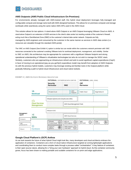

#### **AWS Outposts (AWS Public Cloud Infrastructure On-Premises)**

For environments already managed with AWS-trained staff, this hybrid cloud deployment leverages fully-managed and configurable compute and storage racks built with AWS-designed hardware. This allows for on-premises computer and storage workloads while seamlessly using the same native AWS APIs used in the AWS Cloud.

This solution allows for two options: A stand-alone AWS Outpost or an AWS Outpost leveraging VMware Cloud on AWS. A stand-alone Outpost is an extension of AWS services to the client's data center but residing outside of the customer's firewall, acting much like a Demilitarized Zone (DMZ) to the customer's internal data center network. Outposts are fully managed by AWS engineers and consumed by the customer in the same manner as services in AWS data centers (i.e. resources are viewable through the standard AWS portal).

The VMC on AWS Outpost (See Exhibit 4.) option is similar but can reside within the customers network perimeter with VMC resources connected to the customer's existing VMware tools for workload deployment, management, and visibility. Similar to VMC on AWS, this architecture may be appropriate for customers with a significant VMware footprint and strong operational understanding of VMware's virtualization technologies but who do not wish to manage the SDDC stack. Similarly, customers who are approaching an infrastructure refresh and wish to avoid significant capital expenditures (CapX) in favor of moving to an operational (pay-as-you-go/OpX) expenditure model may benefit from adoption of AWS Outposts. As with the previous hybrid models, customers may leverage existing and familiar tools in the Outpost platform while gradually following a path to hybrid cloud infrastructure and cloud-native toolsets.



EXHIBIT 4 | AWS OUTPOSTS REFERENCE ARCHITECTURE

#### **Google Cloud Platform's (GCP) Anthos**

As we look towards the future of what Hybrid Cloud might look like, many developers and cloud architects embrace the application of containers. Containers are a form of cloud-native infrastructure targeted at running lightweight applications and coordinating them to conduct more complex tasks through a process called "orchestration". A key feature of containers is their open source nature, allowing for a "bring your own hardware" approach to hybrid cloud. As this container community grows, focus has been drawn to making portable and scalable containers for on-prem and edge applications.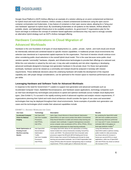

<span id="page-6-0"></span>Google Cloud Platform's (GCP) Anthos offering is an example of a solution utilizing an on-prem containerized architecture for hybrid cloud and multi-cloud solutions. Anthos creates a shared containerized architecture using the open source container orchestration tool Kubernetes. A key feature of containers is their open source nature, allowing for a "bring your own hardware" approach to hybrid cloud. By coordinating Kubernetes on all systems on the network, Anthos allows for portable, elastic, and lightweight infrastructure to be available anywhere. As government IT organizations plan for the future and begin to embrace the concept of container-based application architectures they may want to strongly consider an alternative hybrid strategy such as GCP's Anthos managed offering.

## **Hardware Considerations in Cloud Migration of**

### **Advanced Workloads**

Hardware is the core foundation of all types of cloud deployments (i.e., public-, private-, hybrid-, and multi-cloud) and should be intentionally selected and combined based on specific mission capabilities. In traditional private cloud environments this selection was intentional as it represented capital expenses for the organization. That level of intention should continue even when considering public cloud selections in the overall hybrid cloud model. This is the case because some public cloud vendors operate "commodity" hardware, chipsets, and infrastructure technologies to provide their offerings at a reduced cost. While this cost reduction is valued by the end user, it may also add complexity and risk when migrating or developing advanced workloads designed to leverage next-generation hardware in the private cloud. For these next generation workloads, hardware cannot be viewed as a commodity and instead should be analyzed in lockstep with mission requirements. These deliberate decisions about the underlying hardware will enable the development of the required capability and, with proper design considerations, can be optimized to the mission space to maximize performance per watt per dollar.

#### **Leveraging Hardware and Software Tools for Advanced Workloads**

In response to the need for Government IT Leaders to support next-generation and advanced workloads such as Accelerated Computer Vision, Battlefield Reconnaissance, and Hardware-aware applications, technology companies such as Intel have developed key technologies and products to speed and optimize workloads across multiple cloud deployment types. (See Exhibit 5.) To succeed in the rapidly evolving world of advanced cognitive and analytic mission requirements, IT organizations planning their hybrid and multi-cloud architecture should consider the types of use cases and associated technologies that may be deployed throughout their cloud environments. Some examples of possible next-generation use cases and the technologies which enable their advanced capabilities include:

| Use Case                     | Technology            | <b>Description</b>                                               | <b>Results</b>                           |
|------------------------------|-----------------------|------------------------------------------------------------------|------------------------------------------|
| <b>Accelerated Computer</b>  | Intel OpenVINO,       | Intel's Open Visual Inference & Neural Network Optimization      | By combining the OpenVINO toolkit        |
| <b>Vision for Medical</b>    | Intel Xeon Scalable   | (OpenVINO) is an open source product that utilizes Convolutional | with Intel Xeon scalable processors,     |
| Imaging                      | Processors,           | Deep Neural Networks to enable and enhance deep learning and     | deep learning inferences performed       |
|                              | Intel FPGAs.          | computer vision workloads. It supports heterogeneous execution   | on X-rays and CT scans, increased an     |
|                              | Intel VPUs            | across computer vision accelerators (CPUs, GPUs, FPGAs, VPUs,)   | estimated 188x in throughput on          |
|                              |                       | and maximizes performance for deep-learning workloads.           | bone-age prediction models. <sup>2</sup> |
| <b>Model Optimization of</b> | Intel OpenVINO        | Leveraging OpenVINO allows for the optimization of existing      | Using Intel distribution of the          |
| <b>Existing AI and</b>       | <b>Neural Network</b> | trained models from various frameworks including TensorFlow,     | OpenVINO toolkit to optimize existing    |
| <b>Machine-Learning</b>      | Optimization          | mxnet, and ONNX. The advanced Intel Xeon (Cascade Lake)          | public models for video processing       |
| <b>Models</b>                | Toolkit,              | processors support the BFloat16 (BF16) floating point format.    | has shown almost 8x increase in          |
|                              | Intel Xeon Scalable   | BF16 is faster than current FP16 floating point formats for deep | frames per second (FPS) on visual        |
|                              | Processors,           | learning and associated workloads. Use of Field Programable Gate | applications, while use of OpenVINO      |
|                              | Intel FPGAs.          | Arrays (FPGAs) allow the dynamic reprograming chips to workload  | with Intel FPGAs has shown an almost     |
|                              |                       | requirements. FPGAs enable gains in efficiencies that were       | 20x increase in FPS.                     |
|                              |                       |                                                                  |                                          |

#### EXHIBIT 5 | ADVANCE WORKLOAD USE CASES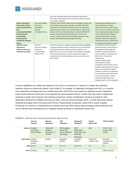# **DIGISQUARES**

|                                |                         | previously impossible with previous generation fixed-function      |                                        |  |
|--------------------------------|-------------------------|--------------------------------------------------------------------|----------------------------------------|--|
|                                |                         | GPU chips, and specifically boost low-latency parallel processing  |                                        |  |
|                                |                         | of AI and ML workloads.                                            |                                        |  |
| <b>Edge Processing of</b>      | Intel Xeon Scalable     | Using 3D Xpoint memory media such as Intel Optane memory and       | By leveraging technology such as       |  |
| <b>Sensor Data in Short</b>    | Processors.             | drives greatly speed storage controllers, providing NVMe SSD-      | Vision Acceleration and Xeon           |  |
| <b>Latency Environments</b>    | <b>Intel Optane</b>     | level speed to inexpensive mechanical drives. This significantly   | advanced processors, edge devices      |  |
| (OR:                           | Memory,                 | speeds boot times, data access, and write rates on data sets at a  | such as sensors, cameras, and drones   |  |
| <b>Accelerated Battlefield</b> | Intel Optane Drives,    | fraction of the cost of storing the data on expensive SSD/NAND     | can on-board process larger data sets  |  |
| Reconnaissance                 |                         | storage, while allowing for ready-state boot of systems and        | such as high-resolution images or      |  |
| through Edge                   |                         | devices. Combined with Intel Xeon Scalable processors, these       | streamed sensor data, and make         |  |
| <b>Processing and</b>          |                         | devices could significantly speed edge processing.                 | decisions, without the necessity of    |  |
| <b>Accelerated Computer</b>    |                         |                                                                    | returning data sets to a central cloud |  |
| Vision)                        |                         |                                                                    | for processing and decision making     |  |
| Hardware-Aware                 | Intel SGX,              | Intel SGX provides new isolation and tamper detection capabilities | Leveraging of hardware-assisted        |  |
| Applications,                  | Intel Xeon Scalable     | to augment traditional runtime protections such as TPM functions   | trusted execution environments into    |  |
| <b>Advanced Security &amp;</b> | Processors.             | with boot-level process isolation and tamper detection. This       | the application itself enables the     |  |
| <b>Full-Stack Encryption</b>   | <b>Trusted Platform</b> | allows for true 'end-to-end' encryption of workloads by leveraging | protection of data and processes,      |  |
|                                | Module (TPM)            | SGX processor and process-level encryption and isolation to        | even if a platform's components (ex.   |  |
|                                |                         | complement other current encryption schemas (ex. data at rest,     | BIOS, OS, or firmware) are             |  |
|                                |                         | data in flight).                                                   | compromised.                           |  |
|                                |                         |                                                                    | Similarly, additional data             |  |
|                                |                         |                                                                    | confidentiality and rights             |  |
|                                |                         |                                                                    | management enhancements can be         |  |
|                                |                         |                                                                    | enabled by determining access levels   |  |
|                                |                         |                                                                    | based on the existence of specific     |  |
|                                |                         |                                                                    | hardware. In this way, an application  |  |
|                                |                         |                                                                    | may be deployed with varying levels    |  |
|                                |                         |                                                                    | of access to sensitive or mission-     |  |
|                                |                         |                                                                    | critical data depending on the         |  |
|                                |                         |                                                                    | hardware used to run the application.  |  |

As these capabilities are created and migrated to the cloud it is necessary for IT leaders to consider the underlying hardware required to achieve the mission. (See Exhibit 6.) For example, an application leveraging Intel SGX, or a machine vision application leveraging Intel Xeon scalable processors with FPGAs may experience significant issues if migrated to public cloud architecture which does not incorporate the same hardware features. Instead, they may need to migrate their workloads to public cloud instances with matching architecture. Similar considerations should be provided for other applications designed for intelligent processing of video, voice and natural language, AI/ML, or similar advanced cognitive workloads leveraging Video Processing Units (VPUs), Programmable Acceleration Cards (PACs), and/or Scalable Processing. For reference, included below are example Azure and AWS instance types leveraging Intel architectures that can be selected when developing new or migrating existing workloads in a distributed hybrid cloud.

|                    | General<br><b>Purpose</b>                       | Memory<br>Optimized                                      | <b>HPC</b><br>Optimized                                       | Storage I/O<br>Optimized                                                         | <b>Protect</b><br>Data In-Use | <b>FPGA Enabled</b>                    |
|--------------------|-------------------------------------------------|----------------------------------------------------------|---------------------------------------------------------------|----------------------------------------------------------------------------------|-------------------------------|----------------------------------------|
| <b>Features</b>    | Scalable<br>Processors,<br><b>Burst Compute</b> | NVMe SSD,<br>Scalable<br>Processors, 3+<br><b>TB RAM</b> | MPI Scalability,<br>NVMe SSD,<br>GPUs, Enhanced<br>Networking | <b>IOPS</b><br>Optimization,<br>NVMe SSD, High<br><b>Bandwidth</b><br>Networking | <b>SGX</b>                    | FPGA, PCI-E<br>Access, DSP<br>Engine   |
| <b>Chip Family</b> | Haswell,<br>Broadwell.<br>Skylake               | Skylake                                                  | Broadwell.<br>Skylake                                         | Ivy Bridge,<br>Skylake                                                           | Skylake-SP,<br>Cascade Lake   | Broadwell.<br>Cascade Lake.<br>Skylake |
|                    | <b>AWS</b> M <sub>5</sub> , T <sub>3</sub>      | X1e, Z1d                                                 | P. G. F1                                                      | I3, D2, H1                                                                       | C <sub>5</sub>                | F <sub>1</sub>                         |
|                    | Azure D-Series                                  | Mv2                                                      | HC, H                                                         |                                                                                  | DC                            | Add-On Service                         |

#### **EXHIBIT 6 | CSP INSTANCE TYPES LEVERAGING INTEL ARCHITECTURE**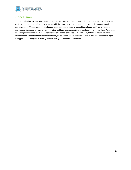

## **Conclusion**

The hybrid cloud architecture of the future must be driven by the mission. Integrating these next generation workloads such as AI, ML, and Deep Learning neural networks- with the enterprise requirements for addressing risks, threats, compliance, and governance. To address these challenges, cloud vendors are eager to expand their offering portfolios to include onpremises environments by making their ecosystem and hardware commoditization available in the private cloud. As a result, underlying infrastructure and management frameworks cannot be treated as a commodity, but rather require informed, intentional decisions about the types of hardware systems utilized as well as the types of public cloud instances leveraged to support the evolving and expanding need for intelligent, cost efficient workloads.